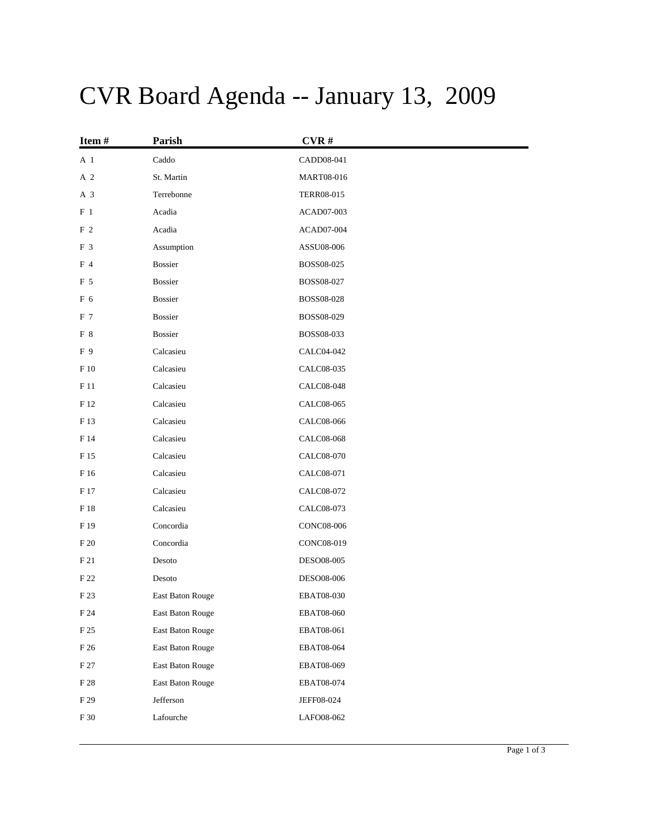## CVR Board Agenda -- January 13, 2009

| Item#          | Parish           | CVR#              |
|----------------|------------------|-------------------|
| A 1            | Caddo            | CADD08-041        |
| A 2            | St. Martin       | MART08-016        |
| A 3            | Terrebonne       | <b>TERR08-015</b> |
| $F_1$          | Acadia           | ACAD07-003        |
| F <sub>2</sub> | Acadia           | ACAD07-004        |
| F <sub>3</sub> | Assumption       | ASSU08-006        |
| F 4            | <b>Bossier</b>   | BOSS08-025        |
| F 5            | Bossier          | BOSS08-027        |
| F 6            | <b>Bossier</b>   | BOSS08-028        |
| F 7            | <b>Bossier</b>   | BOSS08-029        |
| F 8            | <b>Bossier</b>   | BOSS08-033        |
| F 9            | Calcasieu        | CALC04-042        |
| F 10           | Calcasieu        | CALC08-035        |
| F 11           | Calcasieu        | CALC08-048        |
| F 12           | Calcasieu        | CALC08-065        |
| F 13           | Calcasieu        | CALC08-066        |
| F 14           | Calcasieu        | CALC08-068        |
| F 15           | Calcasieu        | CALC08-070        |
| F 16           | Calcasieu        | CALC08-071        |
| F 17           | Calcasieu        | CALC08-072        |
| F 18           | Calcasieu        | CALC08-073        |
| F 19           | Concordia        | CONC08-006        |
| F 20           | Concordia        | CONC08-019        |
| F 21           | Desoto           | DESO08-005        |
| F 22           | Desoto           | DESO08-006        |
| F 23           | East Baton Rouge | <b>EBAT08-030</b> |
| F 24           | East Baton Rouge | <b>EBAT08-060</b> |
| F 25           | East Baton Rouge | EBAT08-061        |
| F 26           | East Baton Rouge | EBAT08-064        |
| F 27           | East Baton Rouge | EBAT08-069        |
| $\rm F~28$     | East Baton Rouge | EBAT08-074        |
| F 29           | Jefferson        | JEFF08-024        |
| F 30           | Lafourche        | LAFO08-062        |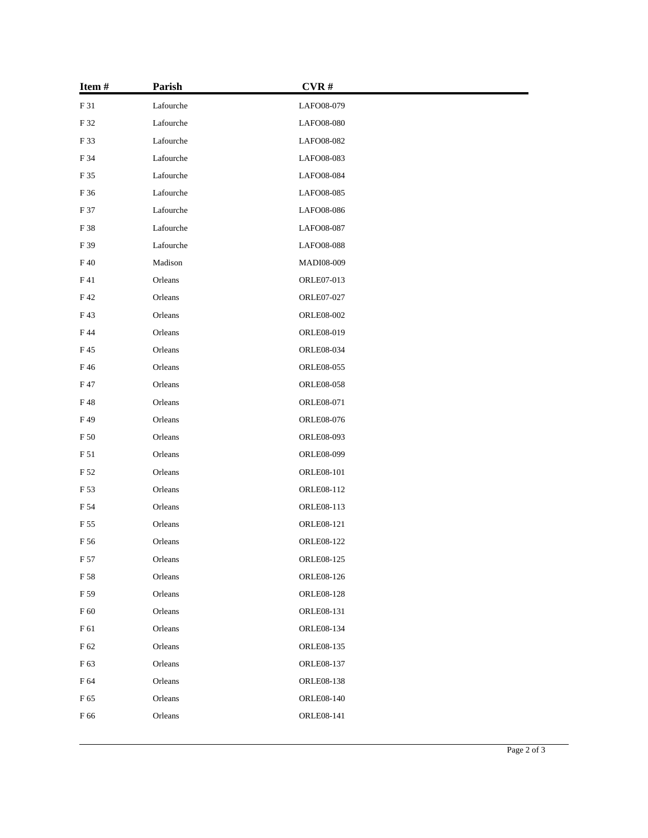| Item#       | Parish    | CVR#              |  |
|-------------|-----------|-------------------|--|
| F 31        | Lafourche | LAFO08-079        |  |
| F 32        | Lafourche | LAFO08-080        |  |
| F 33        | Lafourche | LAFO08-082        |  |
| F 34        | Lafourche | LAFO08-083        |  |
| $\rm F$ 35  | Lafourche | LAFO08-084        |  |
| F 36        | Lafourche | LAFO08-085        |  |
| F 37        | Lafourche | LAFO08-086        |  |
| F 38        | Lafourche | LAFO08-087        |  |
| F 39        | Lafourche | LAFO08-088        |  |
| F40         | Madison   | MADI08-009        |  |
| F 41        | Orleans   | ORLE07-013        |  |
| F42         | Orleans   | ORLE07-027        |  |
| F43         | Orleans   | <b>ORLE08-002</b> |  |
| F 44        | Orleans   | ORLE08-019        |  |
| F 45        | Orleans   | <b>ORLE08-034</b> |  |
| F46         | Orleans   | <b>ORLE08-055</b> |  |
| F 47        | Orleans   | <b>ORLE08-058</b> |  |
| F48         | Orleans   | ORLE08-071        |  |
| F49         | Orleans   | <b>ORLE08-076</b> |  |
| F 50        | Orleans   | <b>ORLE08-093</b> |  |
| $\rm F\,51$ | Orleans   | ORLE08-099        |  |
| F 52        | Orleans   | <b>ORLE08-101</b> |  |
| F 53        | Orleans   | ORLE08-112        |  |
| F 54        | Orleans   | ORLE08-113        |  |
| F 55        | Orleans   | ORLE08-121        |  |
| F 56        | Orleans   | ORLE08-122        |  |
| F 57        | Orleans   | <b>ORLE08-125</b> |  |
| F 58        | Orleans   | ORLE08-126        |  |
| F 59        | Orleans   | <b>ORLE08-128</b> |  |
| F 60        | Orleans   | ORLE08-131        |  |
| F 61        | Orleans   | ORLE08-134        |  |
| F 62        | Orleans   | ORLE08-135        |  |
| F 63        | Orleans   | ORLE08-137        |  |
| F 64        | Orleans   | <b>ORLE08-138</b> |  |
| F 65        | Orleans   | <b>ORLE08-140</b> |  |
| F 66        | Orleans   | ORLE08-141        |  |